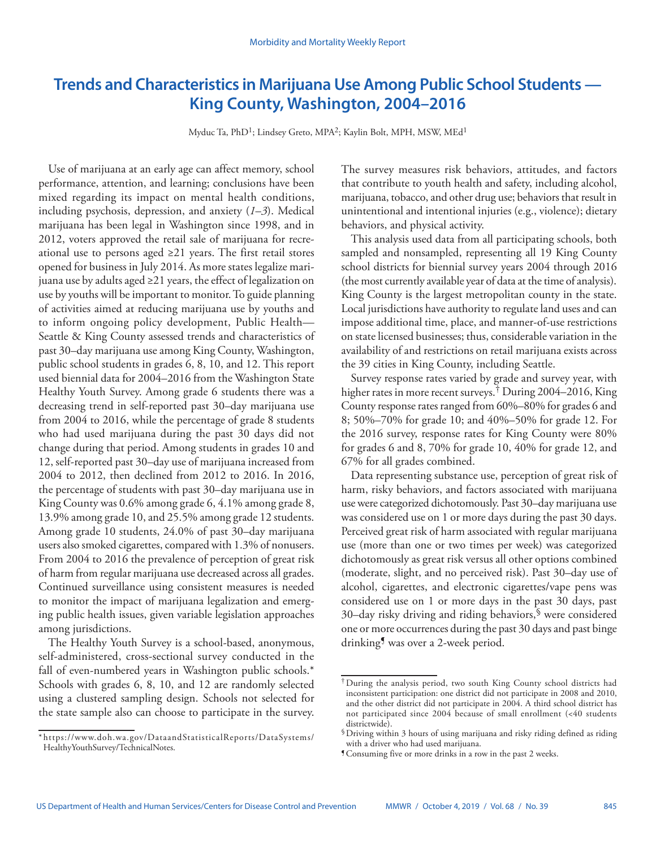# **Trends and Characteristics in Marijuana Use Among Public School Students — King County, Washington, 2004–2016**

Myduc Ta, PhD1; Lindsey Greto, MPA2; Kaylin Bolt, MPH, MSW, MEd1

Use of marijuana at an early age can affect memory, school performance, attention, and learning; conclusions have been mixed regarding its impact on mental health conditions, including psychosis, depression, and anxiety (*1*–*3*). Medical marijuana has been legal in Washington since 1998, and in 2012, voters approved the retail sale of marijuana for recreational use to persons aged ≥21 years. The first retail stores opened for business in July 2014. As more states legalize marijuana use by adults aged ≥21 years, the effect of legalization on use by youths will be important to monitor. To guide planning of activities aimed at reducing marijuana use by youths and to inform ongoing policy development, Public Health— Seattle & King County assessed trends and characteristics of past 30–day marijuana use among King County, Washington, public school students in grades 6, 8, 10, and 12. This report used biennial data for 2004–2016 from the Washington State Healthy Youth Survey. Among grade 6 students there was a decreasing trend in self-reported past 30–day marijuana use from 2004 to 2016, while the percentage of grade 8 students who had used marijuana during the past 30 days did not change during that period. Among students in grades 10 and 12, self-reported past 30–day use of marijuana increased from 2004 to 2012, then declined from 2012 to 2016. In 2016, the percentage of students with past 30–day marijuana use in King County was 0.6% among grade 6, 4.1% among grade 8, 13.9% among grade 10, and 25.5% among grade 12 students. Among grade 10 students, 24.0% of past 30–day marijuana users also smoked cigarettes, compared with 1.3% of nonusers. From 2004 to 2016 the prevalence of perception of great risk of harm from regular marijuana use decreased across all grades. Continued surveillance using consistent measures is needed to monitor the impact of marijuana legalization and emerging public health issues, given variable legislation approaches among jurisdictions.

The Healthy Youth Survey is a school-based, anonymous, self-administered, cross-sectional survey conducted in the fall of even-numbered years in Washington public schools.\* Schools with grades 6, 8, 10, and 12 are randomly selected using a clustered sampling design. Schools not selected for the state sample also can choose to participate in the survey.

The survey measures risk behaviors, attitudes, and factors that contribute to youth health and safety, including alcohol, marijuana, tobacco, and other drug use; behaviors that result in unintentional and intentional injuries (e.g., violence); dietary behaviors, and physical activity.

This analysis used data from all participating schools, both sampled and nonsampled, representing all 19 King County school districts for biennial survey years 2004 through 2016 (the most currently available year of data at the time of analysis). King County is the largest metropolitan county in the state. Local jurisdictions have authority to regulate land uses and can impose additional time, place, and manner-of-use restrictions on state licensed businesses; thus, considerable variation in the availability of and restrictions on retail marijuana exists across the 39 cities in King County, including Seattle.

Survey response rates varied by grade and survey year, with higher rates in more recent surveys.<sup>†</sup> During 2004–2016, King County response rates ranged from 60%–80% for grades 6 and 8; 50%–70% for grade 10; and 40%–50% for grade 12. For the 2016 survey, response rates for King County were 80% for grades 6 and 8, 70% for grade 10, 40% for grade 12, and 67% for all grades combined.

Data representing substance use, perception of great risk of harm, risky behaviors, and factors associated with marijuana use were categorized dichotomously. Past 30–day marijuana use was considered use on 1 or more days during the past 30 days. Perceived great risk of harm associated with regular marijuana use (more than one or two times per week) was categorized dichotomously as great risk versus all other options combined (moderate, slight, and no perceived risk). Past 30–day use of alcohol, cigarettes, and electronic cigarettes/vape pens was considered use on 1 or more days in the past 30 days, past 30–day risky driving and riding behaviors,§ were considered one or more occurrences during the past 30 days and past binge drinking<sup>9</sup> was over a 2-week period.

<sup>\*</sup> [https://www.doh.wa.gov/DataandStatisticalReports/DataSystems/](https://www.doh.wa.gov/DataandStatisticalReports/DataSystems/HealthyYouthSurvey/TechnicalNotes) [HealthyYouthSurvey/TechnicalNotes.](https://www.doh.wa.gov/DataandStatisticalReports/DataSystems/HealthyYouthSurvey/TechnicalNotes)

<sup>†</sup>During the analysis period, two south King County school districts had inconsistent participation: one district did not participate in 2008 and 2010, and the other district did not participate in 2004. A third school district has not participated since 2004 because of small enrollment (<40 students districtwide).

<sup>§</sup>Driving within 3 hours of using marijuana and risky riding defined as riding with a driver who had used marijuana.

<sup>¶</sup>Consuming five or more drinks in a row in the past 2 weeks.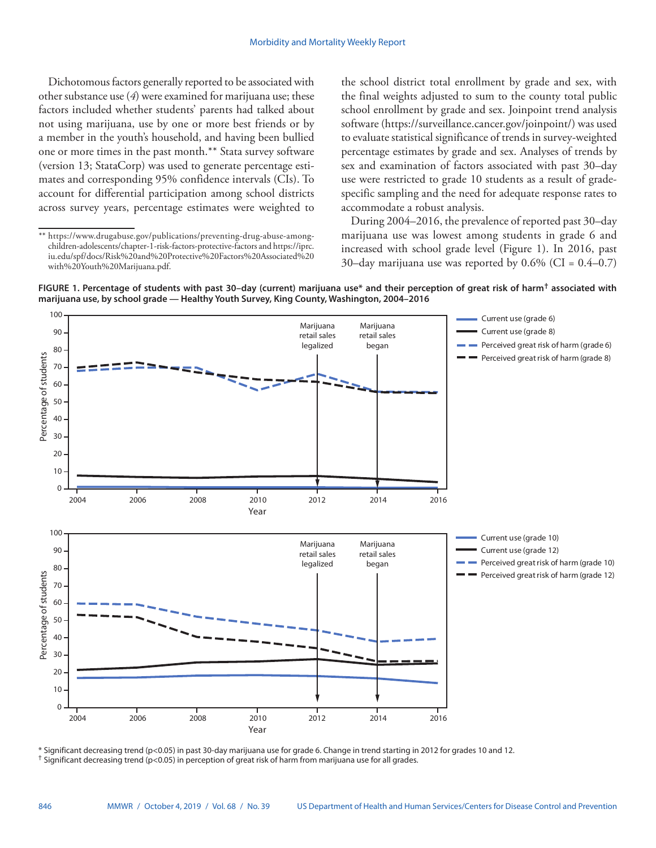Dichotomous factors generally reported to be associated with other substance use (*4*) were examined for marijuana use; these factors included whether students' parents had talked about not using marijuana, use by one or more best friends or by a member in the youth's household, and having been bullied one or more times in the past month.\*\* Stata survey software (version 13; StataCorp) was used to generate percentage estimates and corresponding 95% confidence intervals (CIs). To account for differential participation among school districts across survey years, percentage estimates were weighted to the school district total enrollment by grade and sex, with the final weights adjusted to sum to the county total public school enrollment by grade and sex. Joinpoint trend analysis software [\(https://surveillance.cancer.gov/joinpoint/\)](https://surveillance.cancer.gov/joinpoint/) was used to evaluate statistical significance of trends in survey-weighted percentage estimates by grade and sex. Analyses of trends by sex and examination of factors associated with past 30–day use were restricted to grade 10 students as a result of gradespecific sampling and the need for adequate response rates to accommodate a robust analysis.

During 2004–2016, the prevalence of reported past 30–day marijuana use was lowest among students in grade 6 and increased with school grade level (Figure 1). In 2016, past 30–day marijuana use was reported by  $0.6\%$  (CI =  $0.4-0.7$ )



**FIGURE 1. Percentage of students with past 30–day (current) marijuana use\* and their perception of great risk of harm† associated with marijuana use, by school grade — Healthy Youth Survey, King County, Washington, 2004–2016**

\* Significant decreasing trend (p<0.05) in past 30-day marijuana use for grade 6. Change in trend starting in 2012 for grades 10 and 12. † Significant decreasing trend (p<0.05) in perception of great risk of harm from marijuana use for all grades.

Year

<sup>\*\*</sup> [https://www.drugabuse.gov/publications/preventing-drug-abuse-among](https://www.drugabuse.gov/publications/preventing-drug-abuse-among-children-adolescents/chapter-1-risk-factors-protective-factors)[children-adolescents/chapter-1-risk-factors-protective-factors](https://www.drugabuse.gov/publications/preventing-drug-abuse-among-children-adolescents/chapter-1-risk-factors-protective-factors) and [https://iprc.](https://iprc.iu.edu/spf/docs/Risk%20and%20Protective%20Factors%20Associated%20with%20Youth%20Marijuana.pdf) [iu.edu/spf/docs/Risk%20and%20Protective%20Factors%20Associated%20](https://iprc.iu.edu/spf/docs/Risk%20and%20Protective%20Factors%20Associated%20with%20Youth%20Marijuana.pdf) [with%20Youth%20Marijuana.pdf.](https://iprc.iu.edu/spf/docs/Risk%20and%20Protective%20Factors%20Associated%20with%20Youth%20Marijuana.pdf)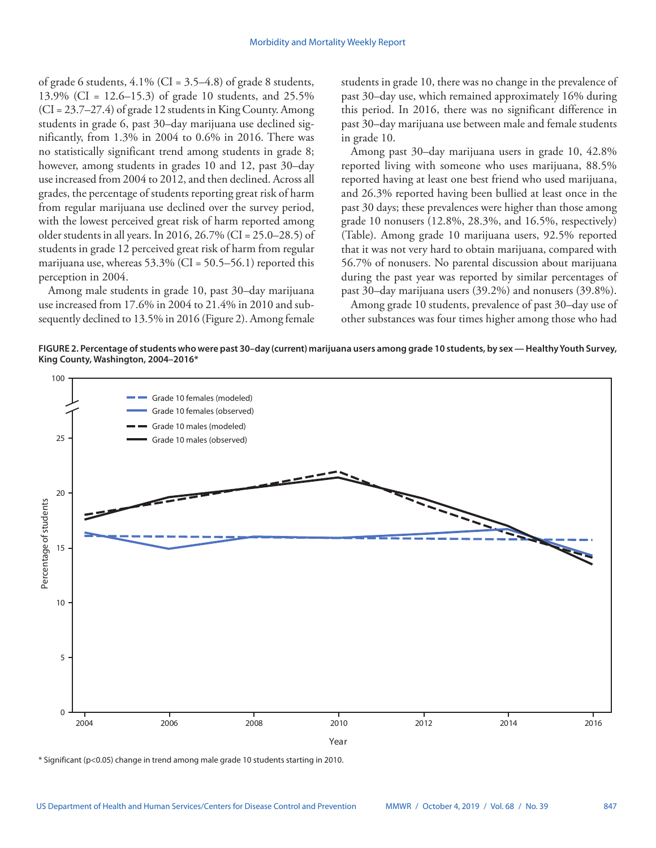of grade 6 students,  $4.1\%$  (CI = 3.5–4.8) of grade 8 students, 13.9% (CI = 12.6–15.3) of grade 10 students, and 25.5% (CI = 23.7–27.4) of grade 12 students in King County. Among students in grade 6, past 30–day marijuana use declined significantly, from 1.3% in 2004 to 0.6% in 2016. There was no statistically significant trend among students in grade 8; however, among students in grades 10 and 12, past 30–day use increased from 2004 to 2012, and then declined. Across all grades, the percentage of students reporting great risk of harm from regular marijuana use declined over the survey period, with the lowest perceived great risk of harm reported among older students in all years. In 2016, 26.7% (CI = 25.0–28.5) of students in grade 12 perceived great risk of harm from regular marijuana use, whereas  $53.3\%$  (CI =  $50.5-56.1$ ) reported this perception in 2004.

Among male students in grade 10, past 30–day marijuana use increased from 17.6% in 2004 to 21.4% in 2010 and subsequently declined to 13.5% in 2016 (Figure 2). Among female students in grade 10, there was no change in the prevalence of past 30–day use, which remained approximately 16% during this period. In 2016, there was no significant difference in past 30–day marijuana use between male and female students in grade 10.

Among past 30–day marijuana users in grade 10, 42.8% reported living with someone who uses marijuana, 88.5% reported having at least one best friend who used marijuana, and 26.3% reported having been bullied at least once in the past 30 days; these prevalences were higher than those among grade 10 nonusers (12.8%, 28.3%, and 16.5%, respectively) (Table). Among grade 10 marijuana users, 92.5% reported that it was not very hard to obtain marijuana, compared with 56.7% of nonusers. No parental discussion about marijuana during the past year was reported by similar percentages of past 30–day marijuana users (39.2%) and nonusers (39.8%).

Among grade 10 students, prevalence of past 30–day use of other substances was four times higher among those who had

**FIGURE 2. Percentage of students who were past 30–day (current) marijuana users among grade 10 students, by sex — Healthy Youth Survey, King County, Washington, 2004–2016\***



\* Significant (p<0.05) change in trend among male grade 10 students starting in 2010.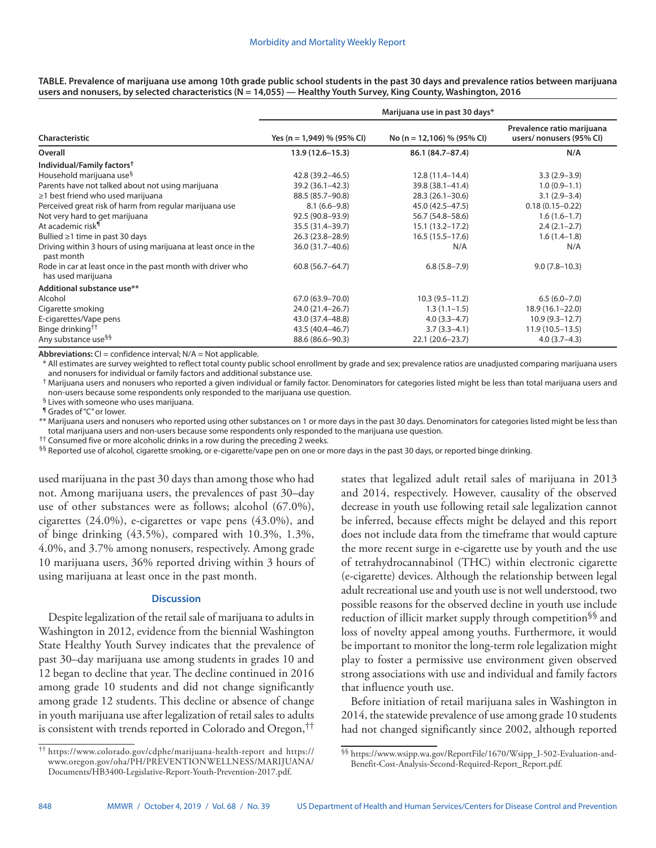| <b>Characteristic</b>                                                             | Marijuana use in past 30 days* |                            |                                                       |
|-----------------------------------------------------------------------------------|--------------------------------|----------------------------|-------------------------------------------------------|
|                                                                                   | Yes (n = 1,949) % (95% CI)     | No (n = 12,106) % (95% CI) | Prevalence ratio marijuana<br>users/nonusers (95% CI) |
| Overall                                                                           | $13.9(12.6 - 15.3)$            | 86.1 (84.7-87.4)           | N/A                                                   |
| Individual/Family factors <sup>†</sup>                                            |                                |                            |                                                       |
| Household marijuana use <sup>§</sup>                                              | 42.8 (39.2-46.5)               | $12.8(11.4 - 14.4)$        | $3.3(2.9 - 3.9)$                                      |
| Parents have not talked about not using marijuana                                 | 39.2 (36.1-42.3)               | 39.8 (38.1-41.4)           | $1.0(0.9-1.1)$                                        |
| ≥1 best friend who used marijuana                                                 | 88.5 (85.7-90.8)               | $28.3(26.1 - 30.6)$        | $3.1(2.9-3.4)$                                        |
| Perceived great risk of harm from regular marijuana use                           | $8.1(6.6-9.8)$                 | 45.0 (42.5–47.5)           | $0.18(0.15 - 0.22)$                                   |
| Not very hard to get marijuana                                                    | 92.5 (90.8-93.9)               | 56.7 (54.8–58.6)           | $1.6(1.6-1.7)$                                        |
| At academic risk <sup>¶</sup>                                                     | 35.5 (31.4 - 39.7)             | $15.1(13.2 - 17.2)$        | $2.4(2.1-2.7)$                                        |
| Bullied $\geq$ 1 time in past 30 days                                             | 26.3 (23.8-28.9)               | $16.5(15.5-17.6)$          | $1.6(1.4-1.8)$                                        |
| Driving within 3 hours of using marijuana at least once in the<br>past month      | 36.0 (31.7-40.6)               | N/A                        | N/A                                                   |
| Rode in car at least once in the past month with driver who<br>has used marijuana | $60.8(56.7 - 64.7)$            | $6.8(5.8 - 7.9)$           | $9.0(7.8 - 10.3)$                                     |
| Additional substance use**                                                        |                                |                            |                                                       |
| Alcohol                                                                           | 67.0 (63.9 - 70.0)             | $10.3(9.5 - 11.2)$         | $6.5(6.0 - 7.0)$                                      |
| Cigarette smoking                                                                 | 24.0 (21.4-26.7)               | $1.3(1.1-1.5)$             | $18.9(16.1 - 22.0)$                                   |
| E-cigarettes/Vape pens                                                            | 43.0 (37.4-48.8)               | $4.0(3.3-4.7)$             | $10.9(9.3 - 12.7)$                                    |
| Binge drinking <sup>††</sup>                                                      | 43.5 (40.4-46.7)               | $3.7(3.3-4.1)$             | $11.9(10.5-13.5)$                                     |
| Any substance use <sup>§§</sup>                                                   | 88.6 (86.6-90.3)               | 22.1 (20.6-23.7)           | $4.0(3.7-4.3)$                                        |

**TABLE. Prevalence of marijuana use among 10th grade public school students in the past 30 days and prevalence ratios between marijuana users and nonusers, by selected characteristics (N = 14,055) — Healthy Youth Survey, King County, Washington, 2016**

**Abbreviations:** CI = confidence interval; N/A = Not applicable.

\* All estimates are survey weighted to reflect total county public school enrollment by grade and sex; prevalence ratios are unadjusted comparing marijuana users and nonusers for individual or family factors and additional substance use.

† Marijuana users and nonusers who reported a given individual or family factor. Denominators for categories listed might be less than total marijuana users and non-users because some respondents only responded to the marijuana use question.

§ Lives with someone who uses marijuana.

¶ Grades of "C" or lower.

\*\* Marijuana users and nonusers who reported using other substances on 1 or more days in the past 30 days. Denominators for categories listed might be less than total marijuana users and non-users because some respondents only responded to the marijuana use question.

†† Consumed five or more alcoholic drinks in a row during the preceding 2 weeks.

§§ Reported use of alcohol, cigarette smoking, or e-cigarette/vape pen on one or more days in the past 30 days, or reported binge drinking.

used marijuana in the past 30 days than among those who had not. Among marijuana users, the prevalences of past 30–day use of other substances were as follows; alcohol (67.0%), cigarettes (24.0%), e-cigarettes or vape pens (43.0%), and of binge drinking (43.5%), compared with 10.3%, 1.3%, 4.0%, and 3.7% among nonusers, respectively. Among grade 10 marijuana users, 36% reported driving within 3 hours of using marijuana at least once in the past month.

## **Discussion**

Despite legalization of the retail sale of marijuana to adults in Washington in 2012, evidence from the biennial Washington State Healthy Youth Survey indicates that the prevalence of past 30–day marijuana use among students in grades 10 and 12 began to decline that year. The decline continued in 2016 among grade 10 students and did not change significantly among grade 12 students. This decline or absence of change in youth marijuana use after legalization of retail sales to adults is consistent with trends reported in Colorado and Oregon,††

†† <https://www.colorado.gov/cdphe/marijuana-health-report> and [https://](https://www.oregon.gov/oha/PH/PREVENTIONWELLNESS/MARIJUANA/Documents/HB3400-Legislative-Report-Youth-Prevention-2017.pdf) [www.oregon.gov/oha/PH/PREVENTIONWELLNESS/MARIJUANA/](https://www.oregon.gov/oha/PH/PREVENTIONWELLNESS/MARIJUANA/Documents/HB3400-Legislative-Report-Youth-Prevention-2017.pdf) [Documents/HB3400-Legislative-Report-Youth-Prevention-2017.pdf](https://www.oregon.gov/oha/PH/PREVENTIONWELLNESS/MARIJUANA/Documents/HB3400-Legislative-Report-Youth-Prevention-2017.pdf).

states that legalized adult retail sales of marijuana in 2013 and 2014, respectively. However, causality of the observed decrease in youth use following retail sale legalization cannot be inferred, because effects might be delayed and this report does not include data from the timeframe that would capture the more recent surge in e-cigarette use by youth and the use of tetrahydrocannabinol (THC) within electronic cigarette (e-cigarette) devices. Although the relationship between legal adult recreational use and youth use is not well understood, two possible reasons for the observed decline in youth use include reduction of illicit market supply through competition§§ and loss of novelty appeal among youths. Furthermore, it would be important to monitor the long-term role legalization might play to foster a permissive use environment given observed strong associations with use and individual and family factors that influence youth use.

Before initiation of retail marijuana sales in Washington in 2014, the statewide prevalence of use among grade 10 students had not changed significantly since 2002, although reported

§§ [https://www.wsipp.wa.gov/ReportFile/1670/Wsipp\\_I-502-Evaluation-and-](https://www.wsipp.wa.gov/ReportFile/1670/Wsipp_I-502-Evaluation-and-Benefit-Cost-Analysis-Second-Required-Report_Report.pdf)[Benefit-Cost-Analysis-Second-Required-Report\\_Report.pdf](https://www.wsipp.wa.gov/ReportFile/1670/Wsipp_I-502-Evaluation-and-Benefit-Cost-Analysis-Second-Required-Report_Report.pdf).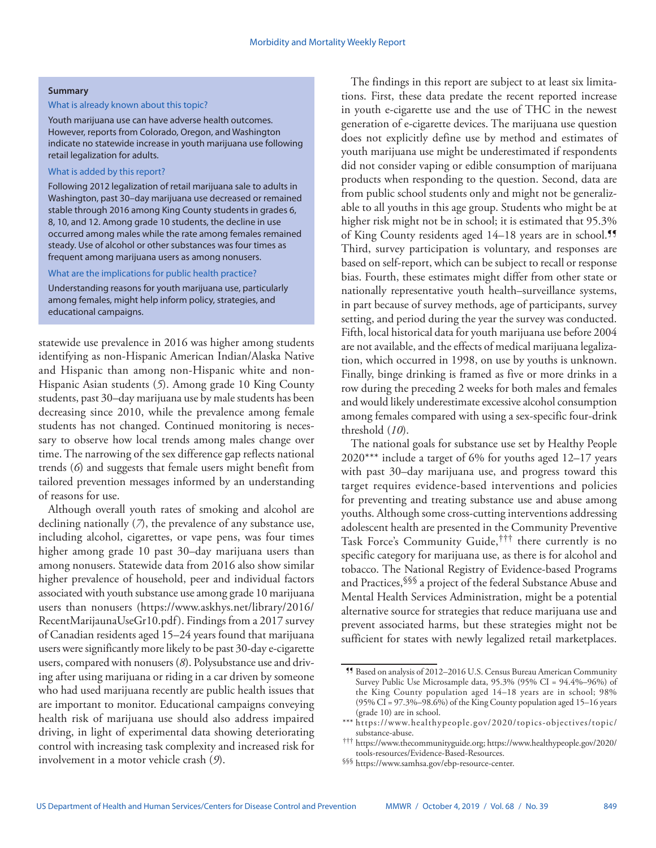#### **Summary**

## What is already known about this topic?

Youth marijuana use can have adverse health outcomes. However, reports from Colorado, Oregon, and Washington indicate no statewide increase in youth marijuana use following retail legalization for adults.

## What is added by this report?

Following 2012 legalization of retail marijuana sale to adults in Washington, past 30–day marijuana use decreased or remained stable through 2016 among King County students in grades 6, 8, 10, and 12. Among grade 10 students, the decline in use occurred among males while the rate among females remained steady. Use of alcohol or other substances was four times as frequent among marijuana users as among nonusers.

## What are the implications for public health practice?

Understanding reasons for youth marijuana use, particularly among females, might help inform policy, strategies, and educational campaigns.

statewide use prevalence in 2016 was higher among students identifying as non-Hispanic American Indian/Alaska Native and Hispanic than among non-Hispanic white and non-Hispanic Asian students (*5*). Among grade 10 King County students, past 30–day marijuana use by male students has been decreasing since 2010, while the prevalence among female students has not changed. Continued monitoring is necessary to observe how local trends among males change over time. The narrowing of the sex difference gap reflects national trends (*6*) and suggests that female users might benefit from tailored prevention messages informed by an understanding of reasons for use.

Although overall youth rates of smoking and alcohol are declining nationally (*7*), the prevalence of any substance use, including alcohol, cigarettes, or vape pens, was four times higher among grade 10 past 30–day marijuana users than among nonusers. Statewide data from 2016 also show similar higher prevalence of household, peer and individual factors associated with youth substance use among grade 10 marijuana users than nonusers [\(https://www.askhys.net/library/2016/](https://www.askhys.net/library/2016/RecentMarijaunaUseGr10.pdf) [RecentMarijaunaUseGr10.pdf\)](https://www.askhys.net/library/2016/RecentMarijaunaUseGr10.pdf). Findings from a 2017 survey of Canadian residents aged 15–24 years found that marijuana users were significantly more likely to be past 30-day e-cigarette users, compared with nonusers (*8*). Polysubstance use and driving after using marijuana or riding in a car driven by someone who had used marijuana recently are public health issues that are important to monitor. Educational campaigns conveying health risk of marijuana use should also address impaired driving, in light of experimental data showing deteriorating control with increasing task complexity and increased risk for involvement in a motor vehicle crash (*9*).

The findings in this report are subject to at least six limitations. First, these data predate the recent reported increase in youth e-cigarette use and the use of THC in the newest generation of e-cigarette devices. The marijuana use question does not explicitly define use by method and estimates of youth marijuana use might be underestimated if respondents did not consider vaping or edible consumption of marijuana products when responding to the question. Second, data are from public school students only and might not be generalizable to all youths in this age group. Students who might be at higher risk might not be in school; it is estimated that 95.3% of King County residents aged 14–18 years are in school.<sup>99</sup> Third, survey participation is voluntary, and responses are based on self-report, which can be subject to recall or response bias. Fourth, these estimates might differ from other state or nationally representative youth health–surveillance systems, in part because of survey methods, age of participants, survey setting, and period during the year the survey was conducted. Fifth, local historical data for youth marijuana use before 2004 are not available, and the effects of medical marijuana legalization, which occurred in 1998, on use by youths is unknown. Finally, binge drinking is framed as five or more drinks in a row during the preceding 2 weeks for both males and females and would likely underestimate excessive alcohol consumption among females compared with using a sex-specific four-drink threshold (*10*).

The national goals for substance use set by Healthy People 2020\*\*\* include a target of 6% for youths aged 12–17 years with past 30–day marijuana use, and progress toward this target requires evidence-based interventions and policies for preventing and treating substance use and abuse among youths. Although some cross-cutting interventions addressing adolescent health are presented in the Community Preventive Task Force's Community Guide,††† there currently is no specific category for marijuana use, as there is for alcohol and tobacco. The National Registry of Evidence-based Programs and Practices,§§§ a project of the federal Substance Abuse and Mental Health Services Administration, might be a potential alternative source for strategies that reduce marijuana use and prevent associated harms, but these strategies might not be sufficient for states with newly legalized retail marketplaces.

<sup>¶¶</sup> Based on analysis of 2012–2016 U.S. Census Bureau American Community Survey Public Use Microsample data, 95.3% (95% CI = 94.4%–96%) of the King County population aged 14–18 years are in school; 98% (95% CI = 97.3%–98.6%) of the King County population aged 15–16 years (grade 10) are in school.

<sup>\*\*\*</sup> [https://www.healthypeople.gov/2020/topics-objectives/topic/](https://www.healthypeople.gov/2020/topics-objectives/topic/substance-abuse)<br>substance-abuse.

[substance-abuse](https://www.healthypeople.gov/2020/topics-objectives/topic/substance-abuse). ††† <https://www.thecommunityguide.org>; [https://www.healthypeople.gov/2020/](https://www.healthypeople.gov/2020/tools-resources/Evidence-Based-Resources)

<sup>§§§</sup> <https://www.samhsa.gov/ebp-resource-center>.